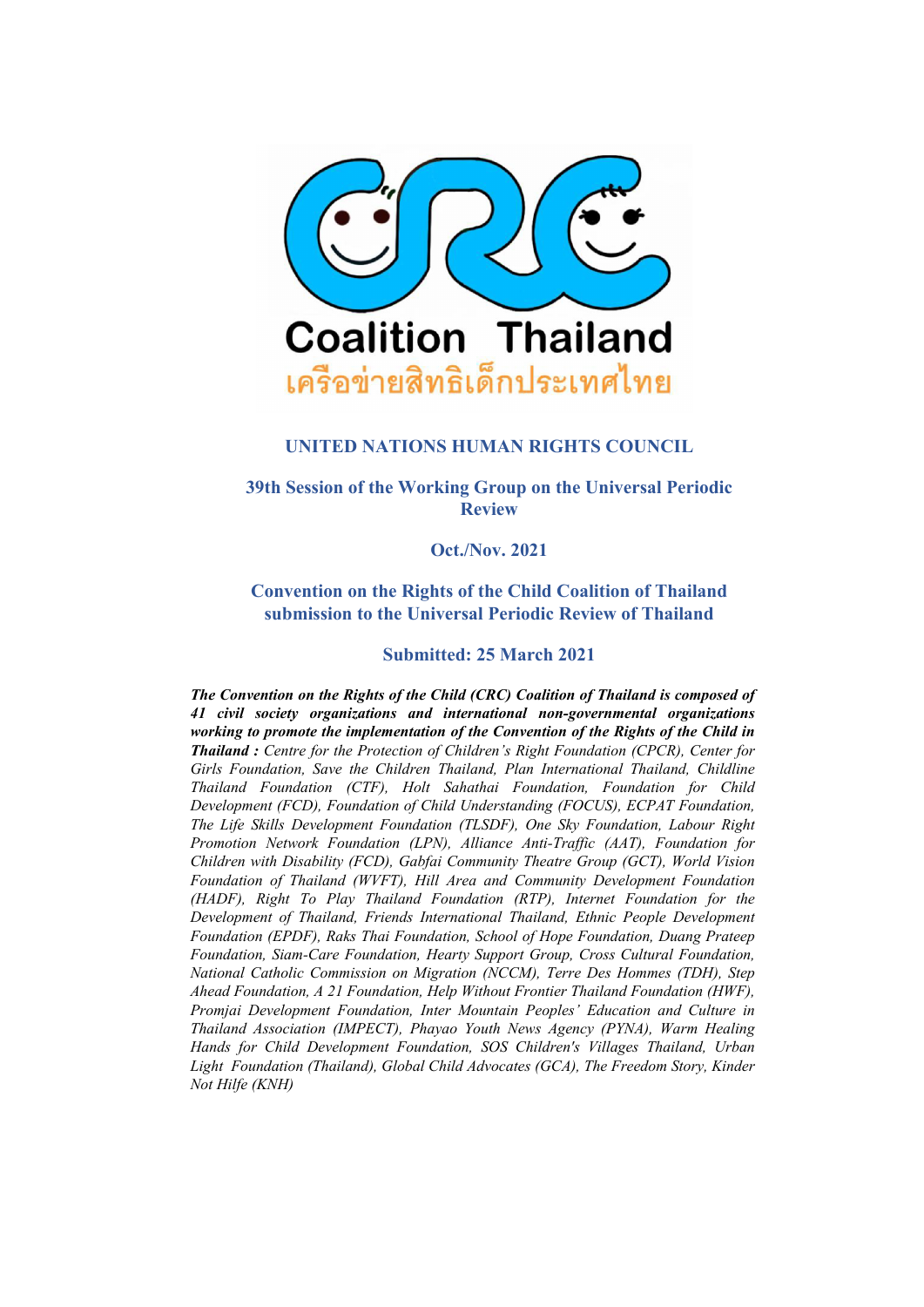

### **UNITED NATIONS HUMAN RIGHTS COUNCIL**

**39th Session of the Working Group on the Universal Periodic Review**

**Oct./Nov. 2021**

**Convention on the Rights of the Child Coalition of Thailand submission to the Universal Periodic Review of Thailand**

### **Submitted: 25 March 2021**

*The Convention on the Rights of the Child (CRC) Coalition of Thailand is composed of 41 civil society organizations and international non-governmental organizations working to promote the implementation of the Convention of the Rights of the Child in Thailand : Centre for the Protection of Children'<sup>s</sup> Right Foundation (CPCR), Center for Girls Foundation, Save the Children Thailand, Plan International Thailand, Childline Thailand Foundation (CTF), Holt Sahathai Foundation, Foundation for Child Development (FCD), Foundation of Child Understanding (FOCUS), ECPAT Foundation, The Life Skills Development Foundation (TLSDF), One Sky Foundation, Labour Right Promotion Network Foundation (LPN), Alliance Anti-Traffic (AAT), Foundation for Children with Disability (FCD), Gabfai Community Theatre Group (GCT), World Vision Foundation of Thailand (WVFT), Hill Area and Community Development Foundation (HADF), Right To Play Thailand Foundation (RTP), Internet Foundation for the Development of Thailand, Friends International Thailand, Ethnic People Development Foundation (EPDF), Raks Thai Foundation, School of Hope Foundation, Duang Prateep Foundation, Siam-Care Foundation, Hearty Support Group, Cross Cultural Foundation, National Catholic Commission on Migration (NCCM), Terre Des Hommes (TDH), Step Ahead Foundation, A 21 Foundation, Help Without Frontier Thailand Foundation (HWF), Promjai Development Foundation, Inter Mountain Peoples' Education and Culture in Thailand Association (IMPECT), Phayao Youth News Agency (PYNA), Warm Healing Hands for Child Development Foundation, SOS Children's Villages Thailand, Urban Light Foundation (Thailand), Global Child Advocates (GCA), The Freedom Story, Kinder Not Hilfe (KNH)*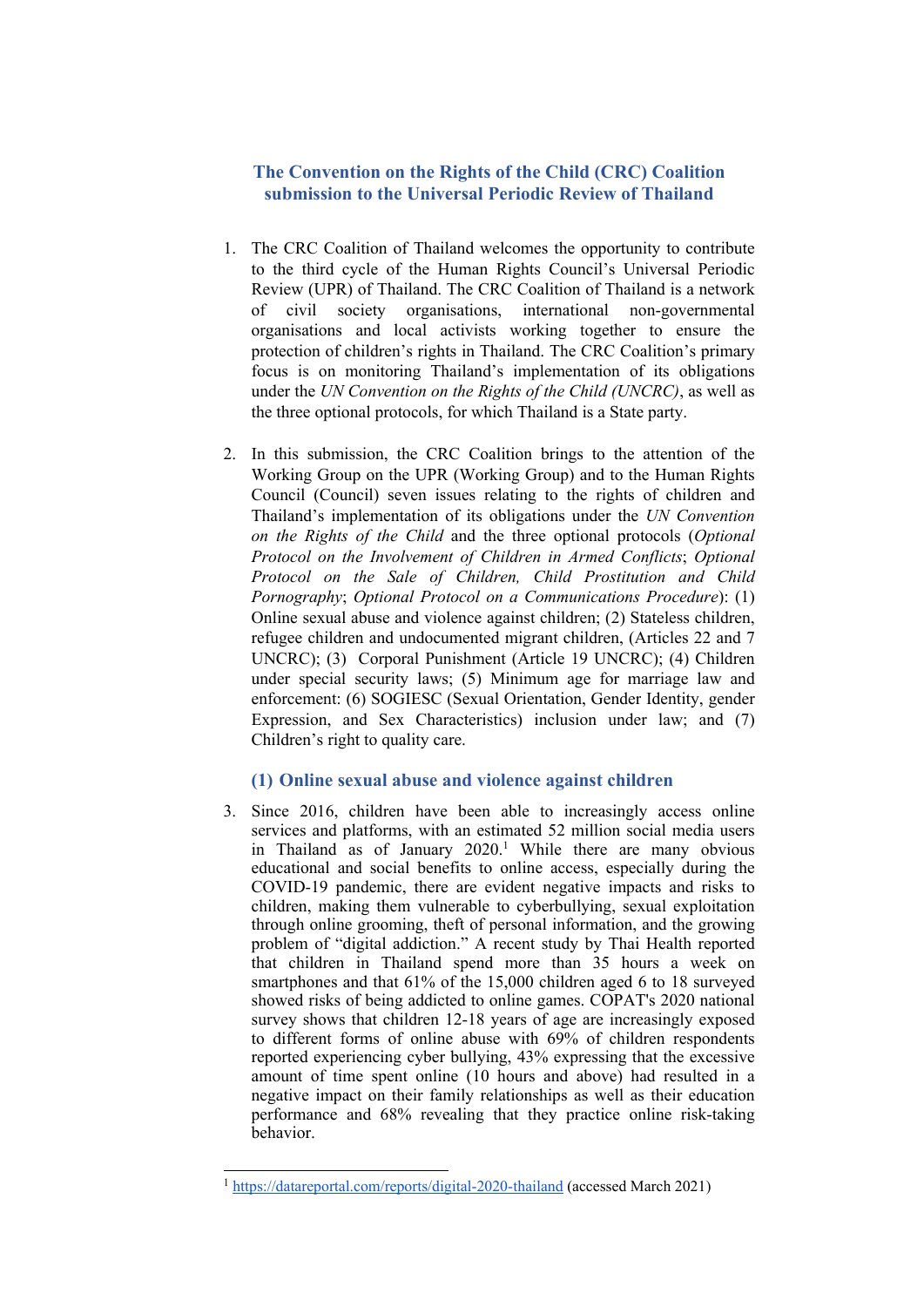# **The Convention on the Rights of the Child (CRC) Coalition submission to the Universal Periodic Review of Thailand**

- 1. The CRC Coalition of Thailand welcomes the opportunity to contribute to the third cycle of the Human Rights Council'<sup>s</sup> Universal Periodic Review (UPR) of Thailand. The CRC Coalition of Thailand is <sup>a</sup> network of civil society organisations, international non-governmental organisations and local activists working together to ensure the protection of children'<sup>s</sup> rights in Thailand. The CRC Coalition'<sup>s</sup> primary focus is on monitoring Thailand'<sup>s</sup> implementation of its obligations under the *UN Convention on the Rights of the Child (UNCRC)*, as well as the three optional protocols, for which Thailand is <sup>a</sup> State party.
- 2. In this submission, the CRC Coalition brings to the attention of the Working Group on the UPR (Working Group) and to the Human Rights Council (Council) seven issues relating to the rights of children and Thailand'<sup>s</sup> implementation of its obligations under the *UN Convention on the Rights of the Child* and the three optional protocols (*Optional Protocol on the Involvement of Children in Armed Conflicts*; *Optional Protocol on the Sale of Children, Child Prostitution and Child Pornography*; *Optional Protocol on <sup>a</sup> Communications Procedure*): (1) Online sexual abuse and violence against children; (2) Stateless children, refugee children and undocumented migrant children, (Articles 22 and 7 UNCRC); (3) Corporal Punishment (Article 19 UNCRC); (4) Children under special security laws; (5) Minimum age for marriage law and enforcement: (6) SOGIESC (Sexual Orientation, Gender Identity, gender Expression, and Sex Characteristics) inclusion under law; and (7) Children'<sup>s</sup> right to quality care.

#### **(1) Online sexual abuse and violence against children**

3. Since 2016, children have been able to increasingly access online services and platforms, with an estimated 52 million social media users in Thailand as of January 2020. <sup>1</sup> While there are many obvious educational and social benefits to online access, especially during the COVID-19 pandemic, there are evident negative impacts and risks to children, making them vulnerable to cyberbullying, sexual exploitation through online grooming, theft of personal information, and the growing problem of "digital addiction." A recent study by Thai Health reported that children in Thailand spend more than 35 hours <sup>a</sup> week on smartphones and that 61% of the 15,000 children aged 6 to 18 surveyed showed risks of being addicted to online games. COPAT's 2020 national survey shows that children 12-18 years of age are increasingly exposed to different forms of online abuse with 69% of children respondents reported experiencing cyber bullying, 43% expressing that the excessive amount of time spen<sup>t</sup> online (10 hours and above) had resulted in <sup>a</sup> negative impact on their family relationships as well as their education performance and 68% revealing that they practice online risk-taking behavior.

<sup>&</sup>lt;sup>1</sup> <https://datareportal.com/reports/digital-2020-thailand> (accessed March 2021)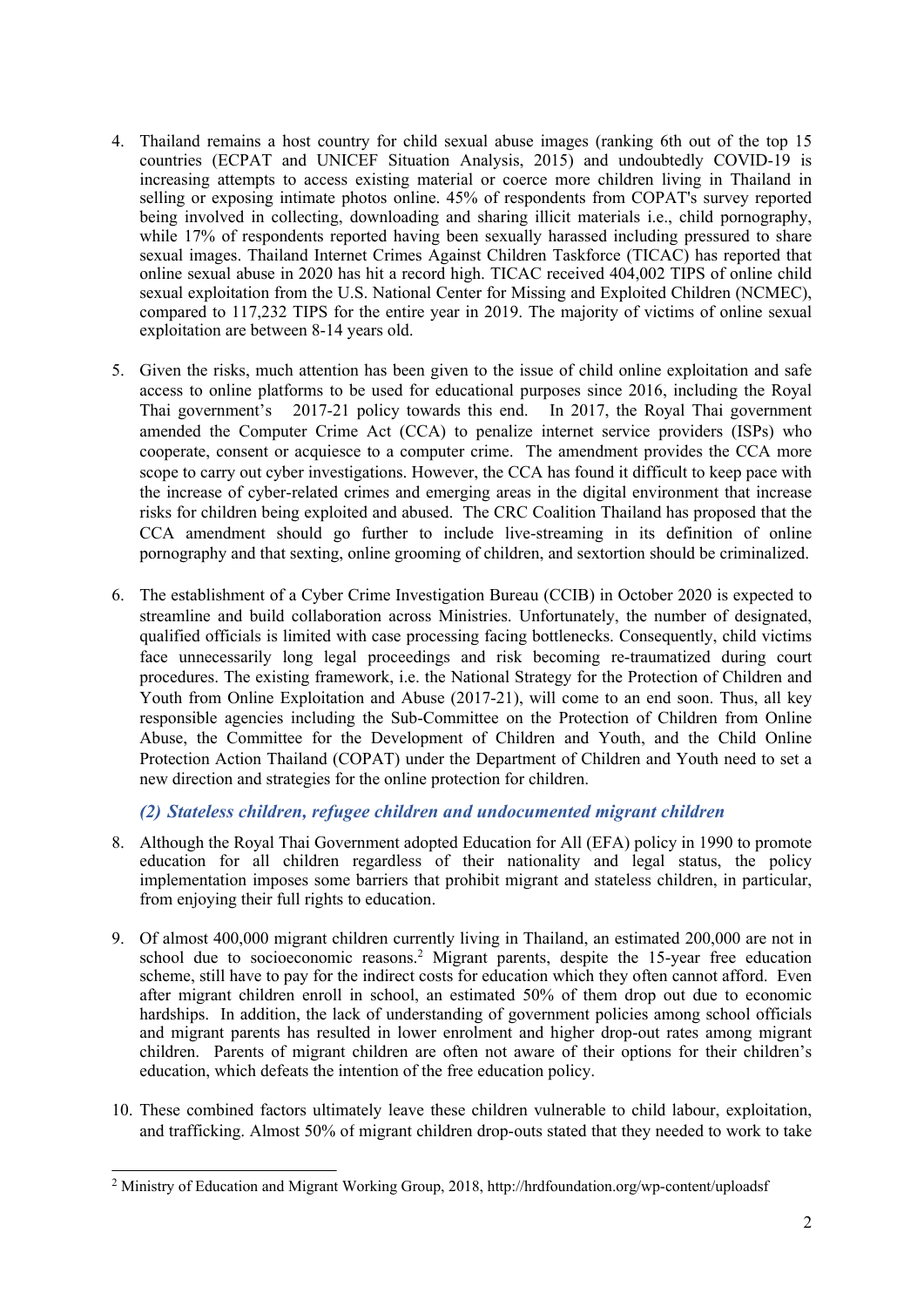- 4. Thailand remains <sup>a</sup> host country for child sexual abuse images (ranking 6th out of the top 15 countries (ECPAT and UNICEF Situation Analysis, 2015) and undoubtedly COVID-19 is increasing attempts to access existing material or coerce more children living in Thailand in selling or exposing intimate photos online. 45% of respondents from COPAT's survey reported being involved in collecting, downloading and sharing illicit materials i.e., child pornography, while 17% of respondents reported having been sexually harassed including pressured to share sexual images. Thailand Internet Crimes Against Children Taskforce (TICAC) has reported that online sexual abuse in 2020 has hit <sup>a</sup> record high. TICAC received 404,002 TIPS of online child sexual exploitation from the U.S. National Center for Missing and Exploited Children (NCMEC), compared to 117,232 TIPS for the entire year in 2019. The majority of victims of online sexual exploitation are between 8-14 years old.
- 5. Given the risks, much attention has been given to the issue of child online exploitation and safe access to online platforms to be used for educational purposes since 2016, including the Royal Thai government'<sup>s</sup> 2017-21 policy towards this end. In 2017, the Royal Thai governmen<sup>t</sup> amended the Computer Crime Act (CCA) to penalize internet service providers (ISPs) who cooperate, consent or acquiesce to <sup>a</sup> computer crime. The amendment provides the CCA more scope to carry out cyber investigations. However, the CCA has found it difficult to keep pace with the increase of cyber-related crimes and emerging areas in the digital environment that increase risks for children being exploited and abused. The CRC Coalition Thailand has proposed that the CCA amendment should go further to include live-streaming in its definition of online pornography and that sexting, online grooming of children, and sextortion should be criminalized.
- 6. The establishment of <sup>a</sup> Cyber Crime Investigation Bureau (CCIB) in October 2020 is expected to streamline and build collaboration across Ministries. Unfortunately, the number of designated, qualified officials is limited with case processing facing bottlenecks. Consequently, child victims face unnecessarily long legal proceedings and risk becoming re-traumatized during court procedures. The existing framework, i.e. the National Strategy for the Protection of Children and Youth from Online Exploitation and Abuse (2017-21), will come to an end soon. Thus, all key responsible agencies including the Sub-Committee on the Protection of Children from Online Abuse, the Committee for the Development of Children and Youth, and the Child Online Protection Action Thailand (COPAT) under the Department of Children and Youth need to set <sup>a</sup> new direction and strategies for the online protection for children.

*(2) Stateless children, refugee children and undocumented migrant children*

- 8. Although the Royal Thai Government adopted Education for All (EFA) policy in 1990 to promote education for all children regardless of their nationality and legal status, the policy implementation imposes some barriers that prohibit migrant and stateless children, in particular, from enjoying their full rights to education.
- 9. Of almost 400,000 migrant children currently living in Thailand, an estimated 200,000 are not in school due to socioeconomic reasons. <sup>2</sup> Migrant parents, despite the 15-year free education scheme, still have to pay for the indirect costs for education which they often cannot afford. Even after migrant children enroll in school, an estimated 50% of them drop out due to economic hardships. In addition, the lack of understanding of governmen<sup>t</sup> policies among school officials and migrant parents has resulted in lower enrolment and higher drop-out rates among migrant children. Parents of migrant children are often not aware of their options for their children'<sup>s</sup> education, which defeats the intention of the free education policy.
- 10. These combined factors ultimately leave these children vulnerable to child labour, exploitation, and trafficking. Almost 50% of migrant children drop-outs stated that they needed to work to take

<sup>2</sup> Ministry of Education and Migrant Working Group, 2018, http://hrdfoundation.org/wp-content/uploadsf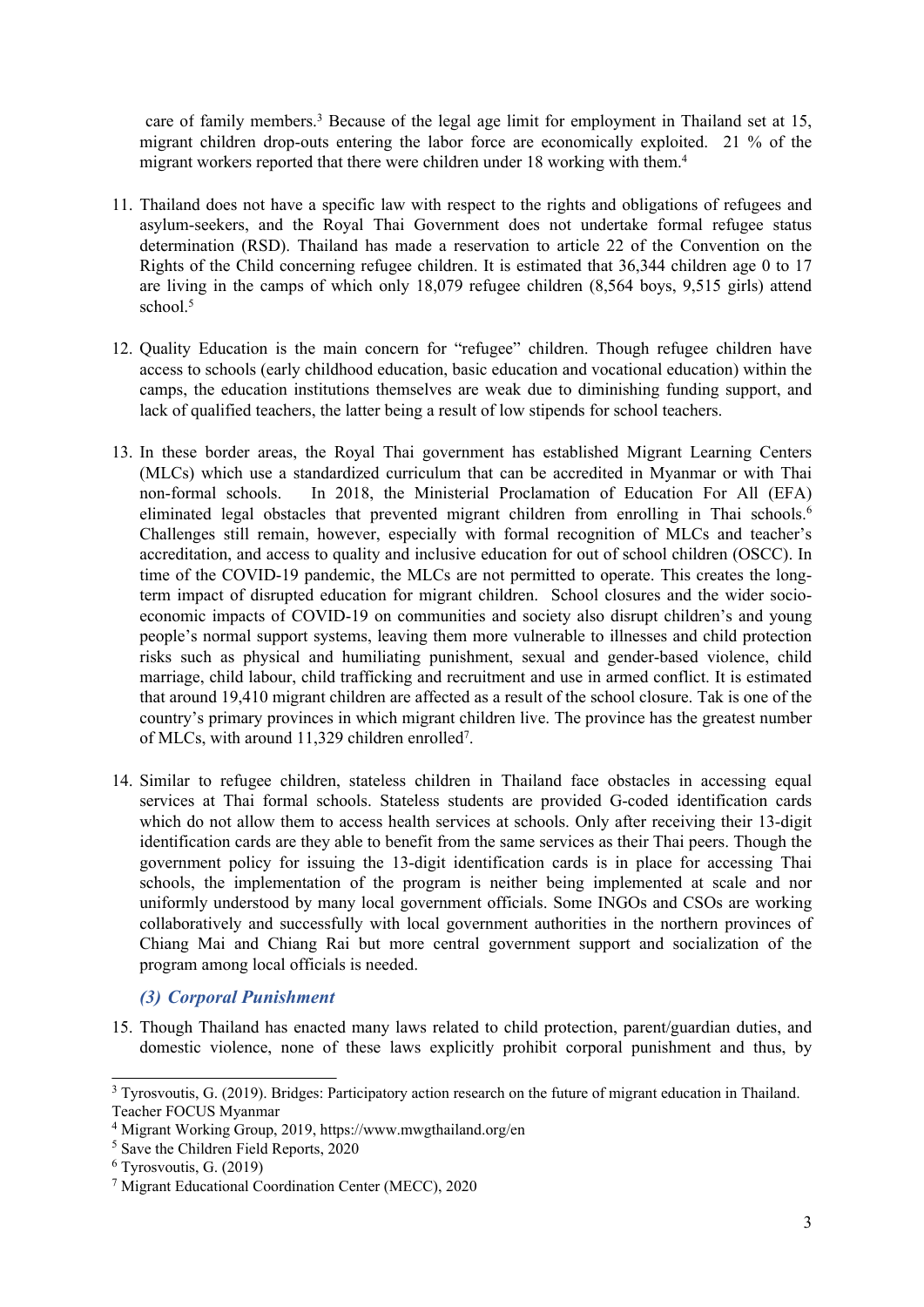care of family members. <sup>3</sup> Because of the legal age limit for employment in Thailand set at 15, migrant children drop-outs entering the labor force are economically exploited. 21 % of the migrant workers reported that there were children under 18 working with them. 4

- 11. Thailand does not have <sup>a</sup> specific law with respec<sup>t</sup> to the rights and obligations of refugees and asylum-seekers, and the Royal Thai Government does not undertake formal refugee status determination (RSD). Thailand has made <sup>a</sup> reservation to article 22 of the Convention on the Rights of the Child concerning refugee children. It is estimated that 36,344 children age 0 to 17 are living in the camps of which only 18,079 refugee children (8,564 boys, 9,515 girls) attend school. 5
- 12. Quality Education is the main concern for "refugee" children. Though refugee children have access to schools (early childhood education, basic education and vocational education) within the camps, the education institutions themselves are weak due to diminishing funding support, and lack of qualified teachers, the latter being <sup>a</sup> result of low stipends for school teachers.
- 13. In these border areas, the Royal Thai governmen<sup>t</sup> has established Migrant Learning Centers (MLCs) which use <sup>a</sup> standardized curriculum that can be accredited in Myanmar or with Thai non-formal schools. In 2018, the Ministerial Proclamation of Education For All (EFA) eliminated legal obstacles that prevented migrant children from enrolling in Thai schools. 6 Challenges still remain, however, especially with formal recognition of MLCs and teacher'<sup>s</sup> accreditation, and access to quality and inclusive education for out of school children (OSCC). In time of the COVID-19 pandemic, the MLCs are not permitted to operate. This creates the longterm impact of disrupted education for migrant children. School closures and the wider socioeconomic impacts of COVID-19 on communities and society also disrupt children'<sup>s</sup> and young people'<sup>s</sup> normal suppor<sup>t</sup> systems, leaving them more vulnerable to illnesses and child protection risks such as physical and humiliating punishment, sexual and gender-based violence, child marriage, child labour, child trafficking and recruitment and use in armed conflict. It is estimated that around 19,410 migrant children are affected as <sup>a</sup> result of the school closure. Tak is one of the country'<sup>s</sup> primary provinces in which migrant children live. The province has the greatest number of MLCs, with around 11,329 children enrolled<sup>7</sup> .
- 14. Similar to refugee children, stateless children in Thailand face obstacles in accessing equal services at Thai formal schools. Stateless students are provided G-coded identification cards which do not allow them to access health services at schools. Only after receiving their 13-digit identification cards are they able to benefit from the same services as their Thai peers. Though the governmen<sup>t</sup> policy for issuing the 13-digit identification cards is in place for accessing Thai schools, the implementation of the program is neither being implemented at scale and nor uniformly understood by many local governmen<sup>t</sup> officials. Some INGOs and CSOs are working collaboratively and successfully with local governmen<sup>t</sup> authorities in the northern provinces of Chiang Mai and Chiang Rai but more central governmen<sup>t</sup> suppor<sup>t</sup> and socialization of the program among local officials is needed.

## *(3) Corporal Punishment*

15. Though Thailand has enacted many laws related to child protection, parent/guardian duties, and domestic violence, none of these laws explicitly prohibit corporal punishment and thus, by

<sup>&</sup>lt;sup>3</sup> Tyrosvoutis, G. (2019). Bridges: Participatory action research on the future of migrant education in Thailand. Teacher FOCUS Myanmar

<sup>4</sup> Migrant Working Group, 2019, https://www.mwgthailand.org/en

<sup>5</sup> Save the Children Field Reports, 2020

<sup>6</sup> Tyrosvoutis, G. (2019)

<sup>7</sup> Migrant Educational Coordination Center (MECC), <sup>2020</sup>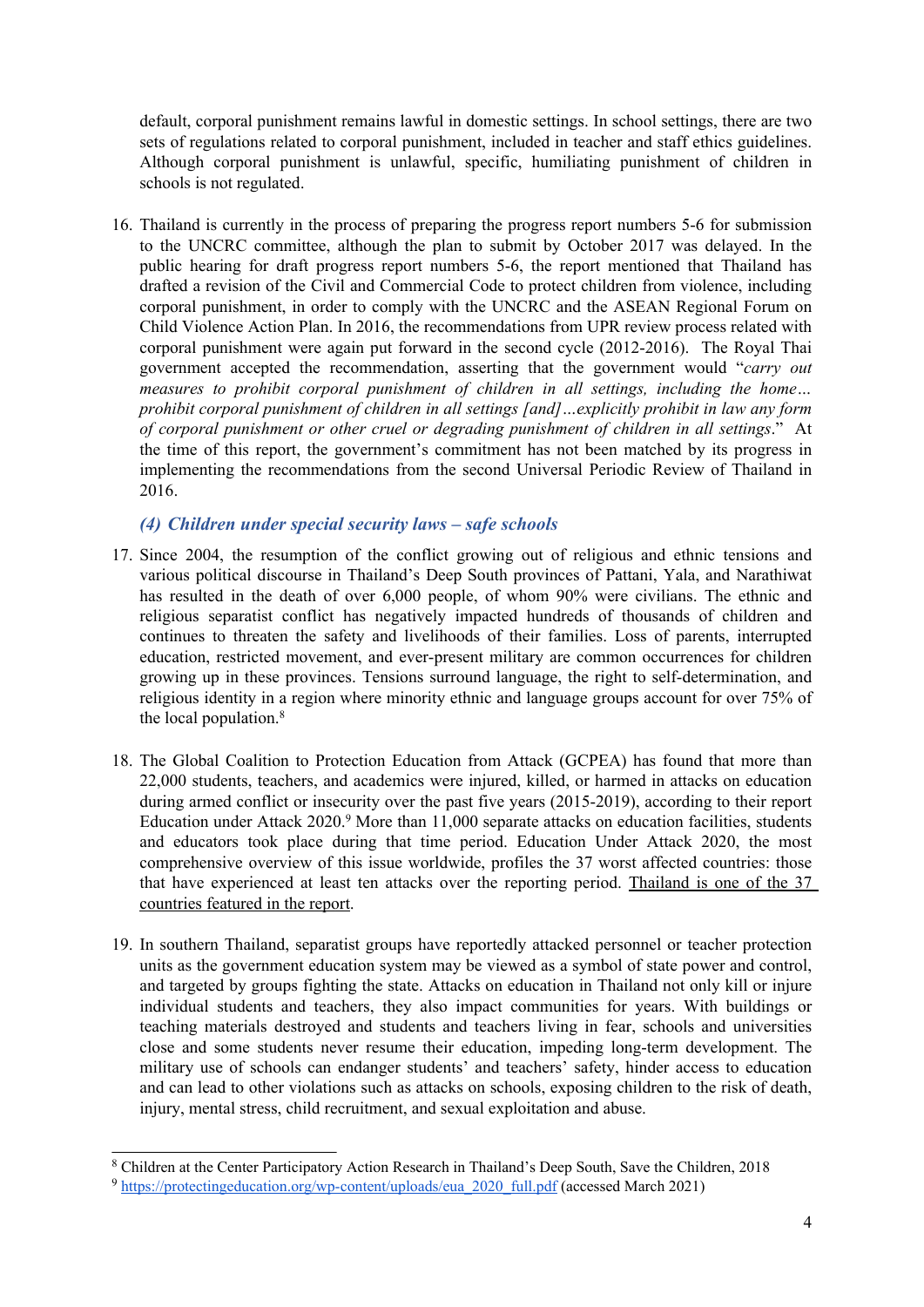default, corporal punishment remains lawful in domestic settings. In school settings, there are two sets of regulations related to corporal punishment, included in teacher and staff ethics guidelines. Although corporal punishment is unlawful, specific, humiliating punishment of children in schools is not regulated.

16. Thailand is currently in the process of preparing the progress repor<sup>t</sup> numbers 5-6 for submission to the UNCRC committee, although the plan to submit by October 2017 was delayed. In the public hearing for draft progress repor<sup>t</sup> numbers 5-6, the repor<sup>t</sup> mentioned that Thailand has drafted <sup>a</sup> revision of the Civil and Commercial Code to protect children from violence, including corporal punishment, in order to comply with the UNCRC and the ASEAN Regional Forum on Child Violence Action Plan. In 2016, the recommendations from UPR review process related with corporal punishment were again pu<sup>t</sup> forward in the second cycle (2012-2016). The Royal Thai governmen<sup>t</sup> accepted the recommendation, asserting that the governmen<sup>t</sup> would "*carry out measures to prohibit corporal punishment of children in all settings, including the home…* prohibit corporal punishment of children in all settings [and]...explicitly prohibit in law any form *of corporal punishment or other cruel or degrading punishment of children in all settings*." At the time of this report, the government'<sup>s</sup> commitment has not been matched by its progress in implementing the recommendations from the second Universal Periodic Review of Thailand in 2016.

# *(4) Children under special security laws – safe schools*

- 17. Since 2004, the resumption of the conflict growing out of religious and ethnic tensions and various political discourse in Thailand'<sup>s</sup> Deep South provinces of Pattani, Yala, and Narathiwat has resulted in the death of over 6,000 people, of whom 90% were civilians. The ethnic and religious separatist conflict has negatively impacted hundreds of thousands of children and continues to threaten the safety and livelihoods of their families. Loss of parents, interrupted education, restricted movement, and ever-presen<sup>t</sup> military are common occurrences for children growing up in these provinces. Tensions surround language, the right to self-determination, and religious identity in <sup>a</sup> region where minority ethnic and language groups account for over 75% of the local population.<sup>8</sup>
- 18. The Global Coalition to Protection Education from Attack (GCPEA) has found that more than 22,000 students, teachers, and academics were injured, killed, or harmed in attacks on education during armed conflict or insecurity over the pas<sup>t</sup> five years (2015-2019), according to their repor<sup>t</sup> Education under Attack 2020.<sup>9</sup> More than 11,000 separate attacks on education facilities, students and educators took place during that time period. Education Under Attack 2020, the most comprehensive overview of this issue worldwide, profiles the 37 worst affected countries: those that have experienced at least ten attacks over the reporting period. Thailand is one of the 37 countries featured in the report.
- 19. In southern Thailand, separatist groups have reportedly attacked personnel or teacher protection units as the governmen<sup>t</sup> education system may be viewed as <sup>a</sup> symbol of state power and control, and targeted by groups fighting the state. Attacks on education in Thailand not only kill or injure individual students and teachers, they also impact communities for years. With buildings or teaching materials destroyed and students and teachers living in fear, schools and universities close and some students never resume their education, impeding long-term development. The military use of schools can endanger students' and teachers' safety, hinder access to education and can lead to other violations such as attacks on schools, exposing children to the risk of death, injury, mental stress, child recruitment, and sexual exploitation and abuse.

<sup>8</sup> Children at the Center Participatory Action Research in Thailand'<sup>s</sup> Deep South, Save the Children, 2018

<sup>9</sup> [https://protectingeducation.org/wp-content/uploads/eua\\_2020\\_full.pdf](https://protectingeducation.org/wp-content/uploads/eua_2020_full.pdf) (accessed March 2021)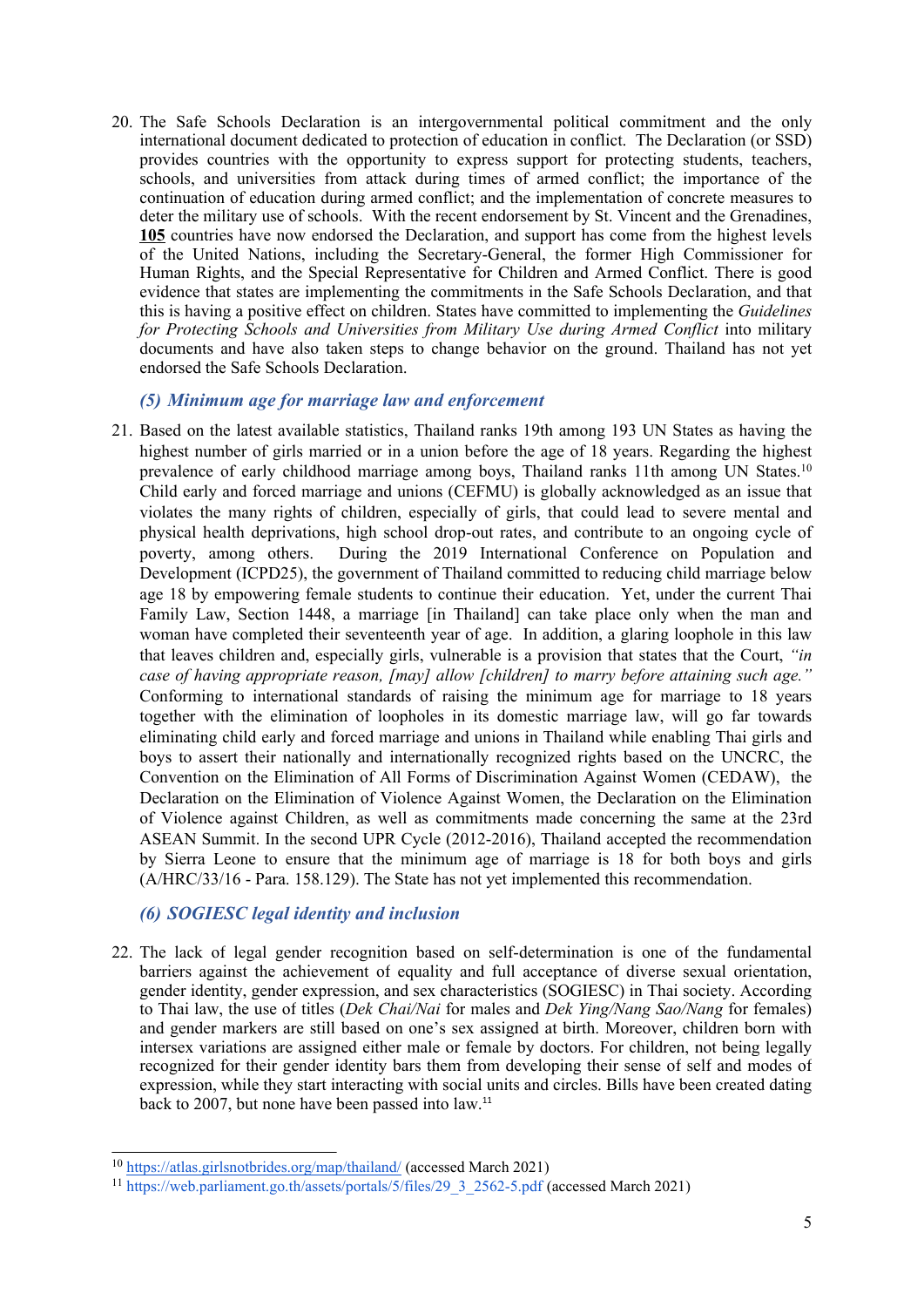20. The Safe Schools Declaration is an intergovernmental political commitment and the only international document dedicated to protection of education in conflict. The Declaration (or SSD) provides countries with the opportunity to express suppor<sup>t</sup> for protecting students, teachers, schools, and universities from attack during times of armed conflict; the importance of the continuation of education during armed conflict; and the implementation of concrete measures to deter the military use of schools. With the recent endorsement by St. Vincent and the Grenadines, **[105](https://ssd.protectingeducation.org/endorsement/)** countries have now endorsed the Declaration, and suppor<sup>t</sup> has come from the highest levels of the United Nations, including the Secretary-General, the former High Commissioner for Human Rights, and the Special Representative for Children and Armed Conflict. There is good evidence that states are implementing the commitments in the Safe Schools Declaration, and that this is having <sup>a</sup> positive effect on children. States have committed to implementing the *[Guidelines](https://protectingeducation.org/wp-content/uploads/documents/documents_guidelines_en.pdf) for [Protecting](https://protectingeducation.org/wp-content/uploads/documents/documents_guidelines_en.pdf) Schools and Universities from Military Use during Armed Conflict* into military documents and have also taken steps to change behavior on the ground. Thailand has not ye<sup>t</sup> endorsed the Safe Schools Declaration.

## *(5) Minimum age for marriage law and enforcement*

21. Based on the latest available statistics, Thailand ranks 19th among 193 UN States as having the highest number of girls married or in a union before the age of 18 years. Regarding the highest prevalence of early childhood marriage among boys, Thailand ranks 11th among UN States.<sup>10</sup> Child early and forced marriage and unions (CEFMU) is globally acknowledged as an issue that violates the many rights of children, especially of girls, that could lead to severe mental and physical health deprivations, high school drop-out rates, and contribute to an ongoing cycle of poverty, among others. During the 2019 International Conference on Population and Development (ICPD25), the governmen<sup>t</sup> of Thailand committed to reducing child marriage below age 18 by empowering female students to continue their education. Yet, under the current Thai Family Law, Section 1448, <sup>a</sup> marriage [in Thailand] can take place only when the man and woman have completed their seventeenth year of age. In addition, <sup>a</sup> glaring loophole in this law that leaves children and, especially girls, vulnerable is <sup>a</sup> provision that states that the Court, *"in case of having appropriate reason, [may] allow [children] to marry before attaining such age."* Conforming to international standards of raising the minimum age for marriage to 18 years together with the elimination of loopholes in its domestic marriage law, will go far towards eliminating child early and forced marriage and unions in Thailand while enabling Thai girls and boys to assert their nationally and internationally recognized rights based on the UNCRC, the Convention on the Elimination of All Forms of Discrimination Against Women (CEDAW), the Declaration on the Elimination of Violence Against Women, the Declaration on the Elimination of Violence against Children, as well as commitments made concerning the same at the 23rd ASEAN Summit. In the second UPR Cycle (2012-2016), Thailand accepted the recommendation by Sierra Leone to ensure that the minimum age of marriage is 18 for both boys and girls (A/HRC/33/16 - Para. 158.129). The State has not ye<sup>t</sup> implemented this recommendation.

# *(6) SOGIESC legal identity and inclusion*

22. The lack of legal gender recognition based on self-determination is one of the fundamental barriers against the achievement of equality and full acceptance of diverse sexual orientation, gender identity, gender expression, and sex characteristics (SOGIESC) in Thai society. According to Thai law, the use of titles (*Dek Chai/Nai* for males and *Dek Ying/Nang Sao/Nang* for females) and gender markers are still based on one'<sup>s</sup> sex assigned at birth. Moreover, children born with intersex variations are assigned either male or female by doctors. For children, not being legally recognized for their gender identity bars them from developing their sense of self and modes of expression, while they start interacting with social units and circles. Bills have been created dating back to 2007, but none have been passed into law. 11

<sup>&</sup>lt;sup>10</sup> <https://atlas.girlsnotbrides.org/map/thailand/> (accessed March 2021)

<sup>&</sup>lt;sup>11</sup> [https://web.parliament.go.th/assets/portals/5/files/29\\_3\\_2562-5.pdf](https://web.parliament.go.th/assets/portals/5/files/29_3_2562-5.pdf) (accessed March 2021)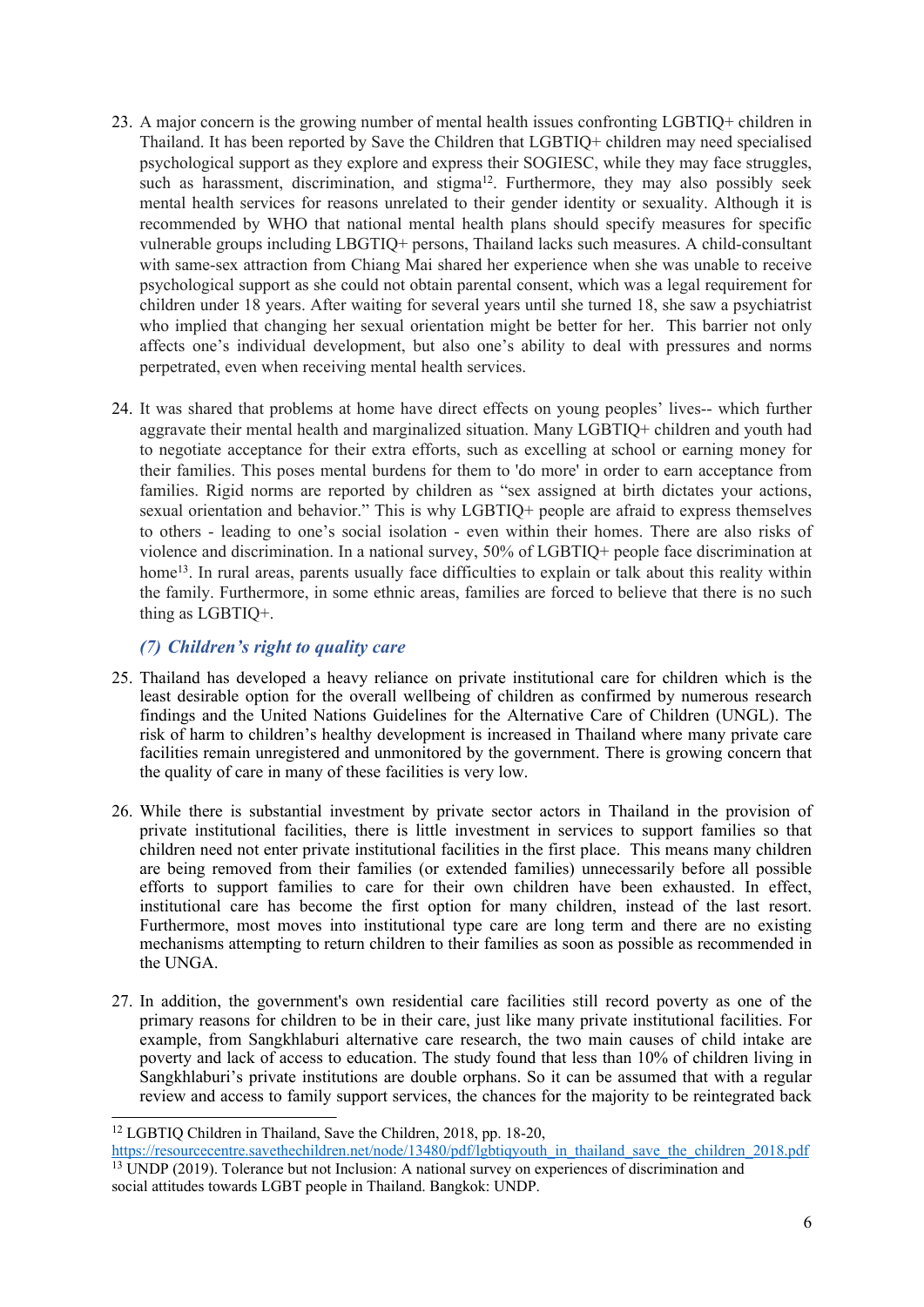- 23. A major concern is the growing number of mental health issues confronting LGBTIQ+ children in Thailand. It has been reported by Save the Children that LGBTIQ+ children may need specialised psychological suppor<sup>t</sup> as they explore and express their SOGIESC, while they may face struggles, such as harassment, discrimination, and stigma<sup>12</sup>. Furthermore, they may also possibly seek mental health services for reasons unrelated to their gender identity or sexuality. Although it is recommended by WHO that national mental health plans should specify measures for specific vulnerable groups including LBGTIQ+ persons, Thailand lacks such measures. A child-consultant with same-sex attraction from Chiang Mai shared her experience when she was unable to receive psychological suppor<sup>t</sup> as she could not obtain parental consent, which was <sup>a</sup> legal requirement for children under 18 years. After waiting for several years until she turned 18, she saw <sup>a</sup> psychiatrist who implied that changing her sexual orientation might be better for her. This barrier not only affects one'<sup>s</sup> individual development, but also one'<sup>s</sup> ability to deal with pressures and norms perpetrated, even when receiving mental health services.
- 24. It was shared that problems at home have direct effects on young peoples' lives-- which further aggravate their mental health and marginalized situation. Many LGBTIQ+ children and youth had to negotiate acceptance for their extra efforts, such as excelling at school or earning money for their families. This poses mental burdens for them to 'do more' in order to earn acceptance from families. Rigid norms are reported by children as "sex assigned at birth dictates your actions, sexual orientation and behavior." This is why LGBTIQ+ people are afraid to express themselves to others - leading to one'<sup>s</sup> social isolation - even within their homes. There are also risks of violence and discrimination. In <sup>a</sup> national survey, 50% of LGBTIQ+ people face discrimination at home<sup>13</sup>. In rural areas, parents usually face difficulties to explain or talk about this reality within the family. Furthermore, in some ethnic areas, families are forced to believe that there is no such thing as LGBTIQ+.

# *(7) Children'<sup>s</sup> right to quality care*

- 25. Thailand has developed <sup>a</sup> heavy reliance on private institutional care for children which is the least desirable option for the overall wellbeing of children as confirmed by numerous research findings and the United Nations Guidelines for the Alternative Care of Children (UNGL). The risk of harm to children'<sup>s</sup> healthy development is increased in Thailand where many private care facilities remain unregistered and unmonitored by the government. There is growing concern that the quality of care in many of these facilities is very low.
- 26. While there is substantial investment by private sector actors in Thailand in the provision of private institutional facilities, there is little investment in services to suppor<sup>t</sup> families so that children need not enter private institutional facilities in the first place. This means many children are being removed from their families (or extended families) unnecessarily before all possible efforts to suppor<sup>t</sup> families to care for their own children have been exhausted. In effect, institutional care has become the first option for many children, instead of the last resort. Furthermore, most moves into institutional type care are long term and there are no existing mechanisms attempting to return children to their families as soon as possible as recommended in the UNGA.
- 27. In addition, the government's own residential care facilities still record poverty as one of the primary reasons for children to be in their care, just like many private institutional facilities. For example, from Sangkhlaburi alternative care research, the two main causes of child intake are poverty and lack of access to education. The study found that less than 10% of children living in Sangkhlaburi'<sup>s</sup> private institutions are double orphans. So it can be assumed that with <sup>a</sup> regular review and access to family suppor<sup>t</sup> services, the chances for the majority to be reintegrated back

<sup>&</sup>lt;sup>12</sup> LGBTIQ Children in Thailand, Save the Children, 2018, pp. 18-20,

[https://resourcecentre.savethechildren.net/node/13480/pdf/lgbtiqyouth\\_in\\_thailand\\_save\\_the\\_children\\_2018.pdf](https://resourcecentre.savethechildren.net/node/13480/pdf/lgbtiqyouth_in_thailand_save_the_children_2018.pdf) <sup>13</sup> UNDP (2019). Tolerance but not Inclusion: A national survey on experiences of discrimination and social attitudes towards LGBT people in Thailand. Bangkok: UNDP.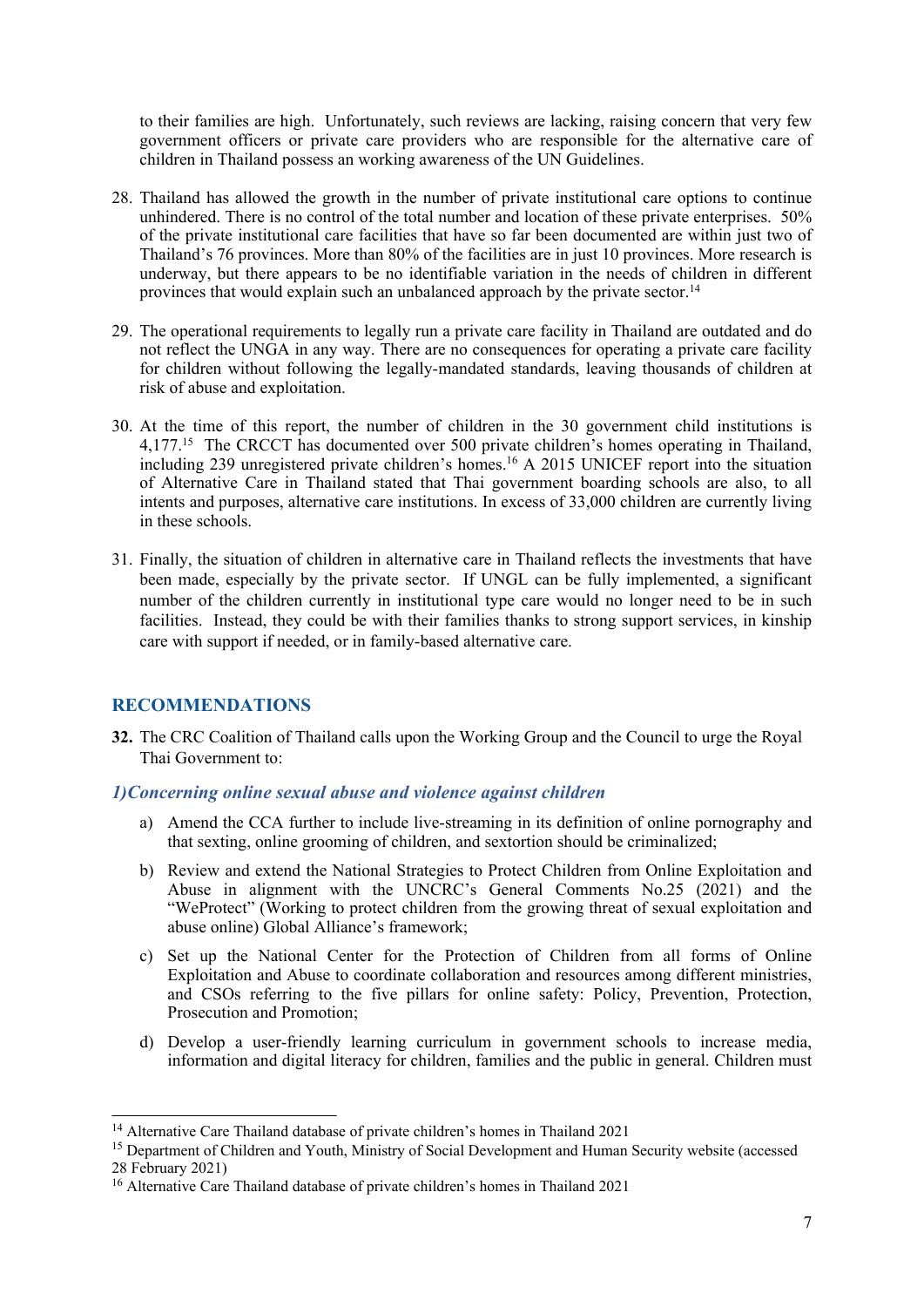to their families are high. Unfortunately, such reviews are lacking, raising concern that very few governmen<sup>t</sup> officers or private care providers who are responsible for the alternative care of children in Thailand possess an working awareness of the UN Guidelines.

- 28. Thailand has allowed the growth in the number of private institutional care options to continue unhindered. There is no control of the total number and location of these private enterprises. 50% of the private institutional care facilities that have so far been documented are within just two of Thailand'<sup>s</sup> 76 provinces. More than 80% of the facilities are in just 10 provinces. More research is underway, but there appears to be no identifiable variation in the needs of children in different provinces that would explain such an unbalanced approach by the private sector.<sup>14</sup>
- 29. The operational requirements to legally run <sup>a</sup> private care facility in Thailand are outdated and do not reflect the UNGA in any way. There are no consequences for operating <sup>a</sup> private care facility for children without following the legally-mandated standards, leaving thousands of children at risk of abuse and exploitation.
- 30. At the time of this report, the number of children in the 30 governmen<sup>t</sup> child institutions is 4,177. 15 The CRCCT has documented over 500 private children'<sup>s</sup> homes operating in Thailand, including 239 unregistered private children'<sup>s</sup> homes. <sup>16</sup> A 2015 UNICEF repor<sup>t</sup> into the situation of Alternative Care in Thailand stated that Thai governmen<sup>t</sup> boarding schools are also, to all intents and purposes, alternative care institutions. In excess of 33,000 children are currently living in these schools.
- 31. Finally, the situation of children in alternative care in Thailand reflects the investments that have been made, especially by the private sector. If UNGL can be fully implemented, <sup>a</sup> significant number of the children currently in institutional type care would no longer need to be in such facilities. Instead, they could be with their families thanks to strong suppor<sup>t</sup> services, in kinship care with suppor<sup>t</sup> if needed, or in family-based alternative care.

# **RECOMMENDATIONS**

**32.** The CRC Coalition of Thailand calls upon the Working Group and the Council to urge the Royal Thai Government to:

## *1)Concerning online sexual abuse and violence against children*

- a) Amend the CCA further to include live-streaming in its definition of online pornography and that sexting, online grooming of children, and sextortion should be criminalized;
- b) Review and extend the National Strategies to Protect Children from Online Exploitation and Abuse in alignment with the UNCRC'<sup>s</sup> General Comments No.25 (2021) and the "WeProtect" (Working to protect children from the growing threat of sexual exploitation and abuse online) Global Alliance'<sup>s</sup> framework;
- c) Set up the National Center for the Protection of Children from all forms of Online Exploitation and Abuse to coordinate collaboration and resources among different ministries, and CSOs referring to the five pillars for online safety: Policy, Prevention, Protection, Prosecution and Promotion;
- d) Develop <sup>a</sup> user-friendly learning curriculum in governmen<sup>t</sup> schools to increase media, information and digital literacy for children, families and the public in general. Children must

<sup>&</sup>lt;sup>14</sup> Alternative Care Thailand database of private children's homes in Thailand 2021

<sup>&</sup>lt;sup>15</sup> Department of Children and Youth, Ministry of Social Development and Human Security website (accessed 28 February 2021)

<sup>&</sup>lt;sup>16</sup> Alternative Care Thailand database of private children's homes in Thailand 2021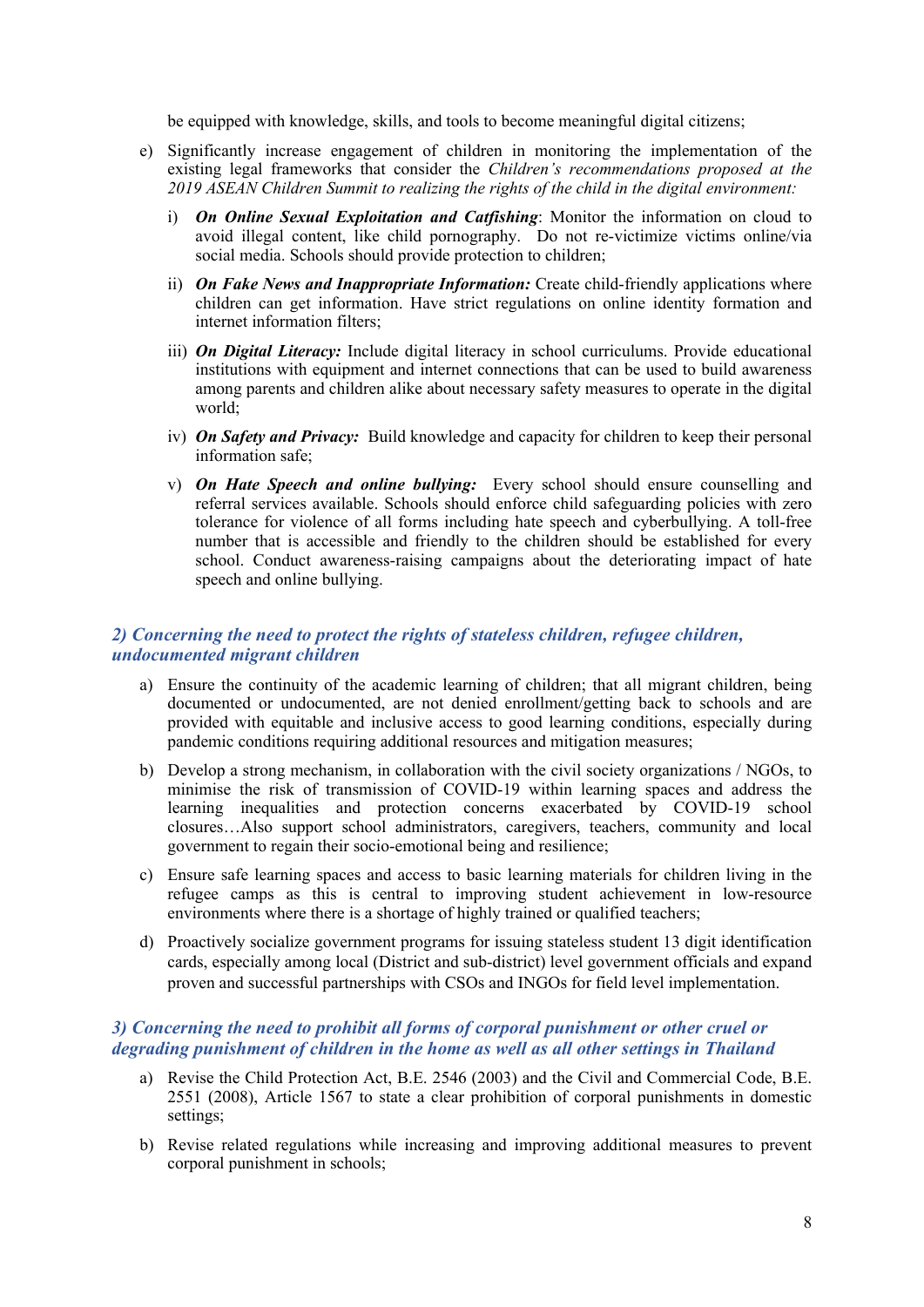be equipped with knowledge, skills, and tools to become meaningful digital citizens;

- e) Significantly increase engagemen<sup>t</sup> of children in monitoring the implementation of the existing legal frameworks that consider the *Children'<sup>s</sup> recommendations proposed at the 2019 ASEAN Children Summit to realizing the rights of the child in the digital environment:*
	- i) *On Online Sexual Exploitation and Catfishing*: Monitor the information on cloud to avoid illegal content, like child pornography. Do not re-victimize victims online/via social media. Schools should provide protection to children;
	- ii) *On Fake News and Inappropriate Information:* Create child-friendly applications where children can ge<sup>t</sup> information. Have strict regulations on online identity formation and internet information filters;
	- iii) *On Digital Literacy:* Include digital literacy in school curriculums. Provide educational institutions with equipment and internet connections that can be used to build awareness among parents and children alike about necessary safety measures to operate in the digital world;
	- iv) *On Safety and Privacy:* Build knowledge and capacity for children to keep their personal information safe;
	- v) *On Hate Speech and online bullying:* Every school should ensure counselling and referral services available. Schools should enforce child safeguarding policies with zero tolerance for violence of all forms including hate speech and cyberbullying. A toll-free number that is accessible and friendly to the children should be established for every school. Conduct awareness-raising campaigns about the deteriorating impact of hate speech and online bullying.

# *2) Concerning the need to protect the rights of stateless children, refugee children, undocumented migrant children*

- a) Ensure the continuity of the academic learning of children; that all migrant children, being documented or undocumented, are not denied enrollment/getting back to schools and are provided with equitable and inclusive access to good learning conditions, especially during pandemic conditions requiring additional resources and mitigation measures;
- b) Develop <sup>a</sup> strong mechanism, in collaboration with the civil society organizations / NGOs, to minimise the risk of transmission of COVID-19 within learning spaces and address the learning inequalities and protection concerns exacerbated by COVID-19 school closures…Also suppor<sup>t</sup> school administrators, caregivers, teachers, community and local governmen<sup>t</sup> to regain their socio-emotional being and resilience;
- c) Ensure safe learning spaces and access to basic learning materials for children living in the refugee camps as this is central to improving student achievement in low-resource environments where there is <sup>a</sup> shortage of highly trained or qualified teachers;
- d) Proactively socialize governmen<sup>t</sup> programs for issuing stateless student 13 digit identification cards, especially among local (District and sub-district) level governmen<sup>t</sup> officials and expand proven and successful partnerships with CSOs and INGOs for field level implementation.

### *3) Concerning the need to prohibit all forms of corporal punishment or other cruel or degrading punishment of children in the home as well as all other settings in Thailand*

- a) Revise the Child Protection Act, B.E. 2546 (2003) and the Civil and Commercial Code, B.E. 2551 (2008), Article 1567 to state <sup>a</sup> clear prohibition of corporal punishments in domestic settings;
- b) Revise related regulations while increasing and improving additional measures to preven<sup>t</sup> corporal punishment in schools;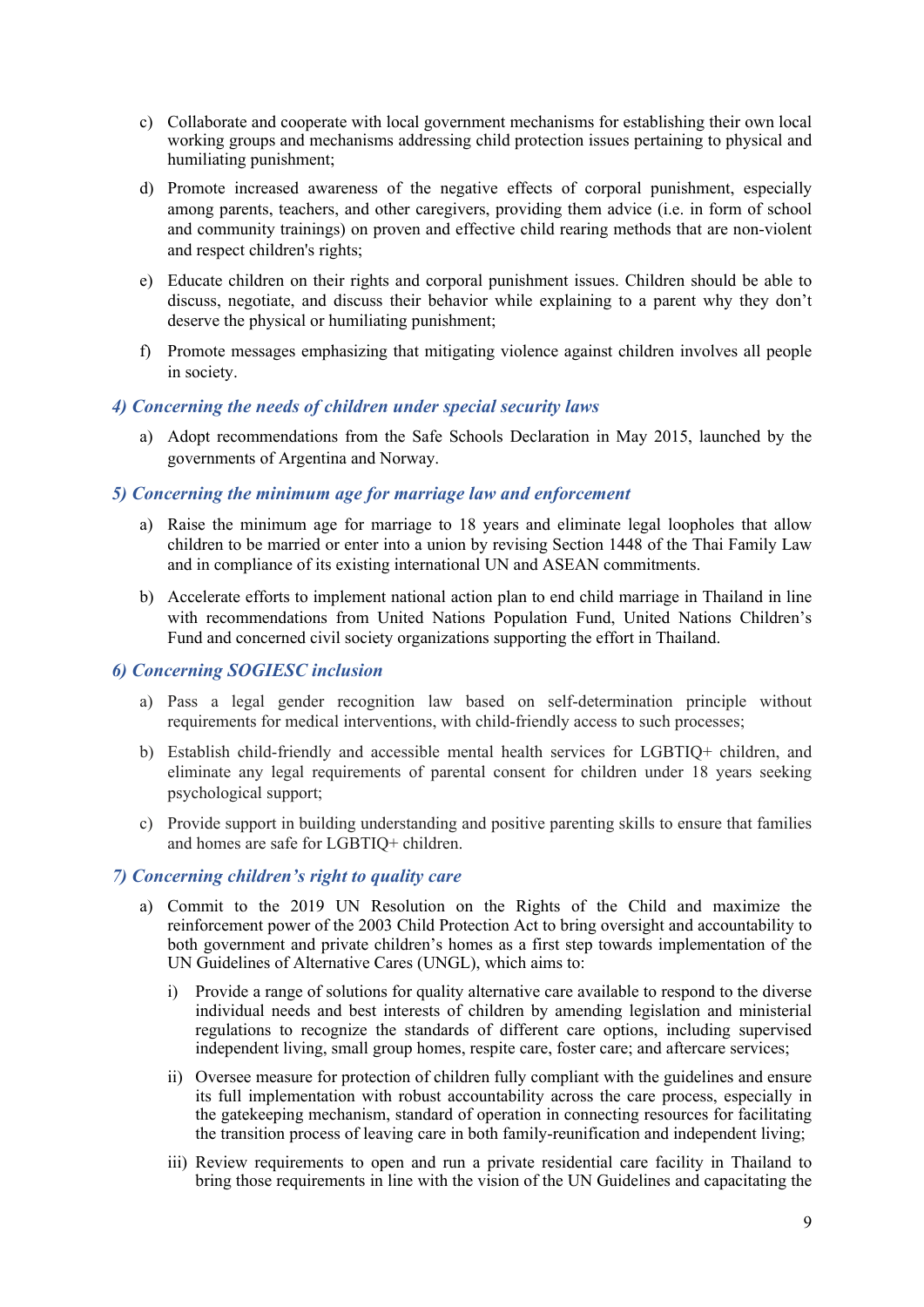- c) Collaborate and cooperate with local governmen<sup>t</sup> mechanisms for establishing their own local working groups and mechanisms addressing child protection issues pertaining to physical and humiliating punishment;
- d) Promote increased awareness of the negative effects of corporal punishment, especially among parents, teachers, and other caregivers, providing them advice (i.e. in form of school and community trainings) on proven and effective child rearing methods that are non-violent and respec<sup>t</sup> children's rights;
- e) Educate children on their rights and corporal punishment issues. Children should be able to discuss, negotiate, and discuss their behavior while explaining to <sup>a</sup> paren<sup>t</sup> why they don'<sup>t</sup> deserve the physical or humiliating punishment;
- f) Promote messages emphasizing that mitigating violence against children involves all people in society.

### *4) Concerning the needs of children under special security laws*

a) Adopt recommendations from the Safe Schools Declaration in May 2015, launched by the governments of Argentina and Norway.

#### *5) Concerning the minimum age for marriage law and enforcement*

- a) Raise the minimum age for marriage to 18 years and eliminate legal loopholes that allow children to be married or enter into <sup>a</sup> union by revising Section 1448 of the Thai Family Law and in compliance of its existing international UN and ASEAN commitments.
- b) Accelerate efforts to implement national action plan to end child marriage in Thailand in line with recommendations from United Nations Population Fund, United Nations Children'<sup>s</sup> Fund and concerned civil society organizations supporting the effort in Thailand.

## *6) Concerning SOGIESC inclusion*

- a) Pass <sup>a</sup> legal gender recognition law based on self-determination principle without requirements for medical interventions, with child-friendly access to such processes;
- b) Establish child-friendly and accessible mental health services for LGBTIQ+ children, and eliminate any legal requirements of parental consent for children under 18 years seeking psychological support;
- c) Provide suppor<sup>t</sup> in building understanding and positive parenting skills to ensure that families and homes are safe for LGBTIQ+ children.

#### *7) Concerning children'<sup>s</sup> right to quality care*

- a) Commit to the 2019 UN Resolution on the Rights of the Child and maximize the reinforcement power of the 2003 Child Protection Act to bring oversight and accountability to both governmen<sup>t</sup> and private children'<sup>s</sup> homes as <sup>a</sup> first step towards implementation of the UN Guidelines of Alternative Cares (UNGL), which aims to:
	- i) Provide <sup>a</sup> range of solutions for quality alternative care available to respond to the diverse individual needs and best interests of children by amending legislation and ministerial regulations to recognize the standards of different care options, including supervised independent living, small group homes, respite care, foster care; and aftercare services;
	- ii) Oversee measure for protection of children fully compliant with the guidelines and ensure its full implementation with robust accountability across the care process, especially in the gatekeeping mechanism, standard of operation in connecting resources for facilitating the transition process of leaving care in both family-reunification and independent living;
	- iii) Review requirements to open and run <sup>a</sup> private residential care facility in Thailand to bring those requirements in line with the vision of the UN Guidelines and capacitating the